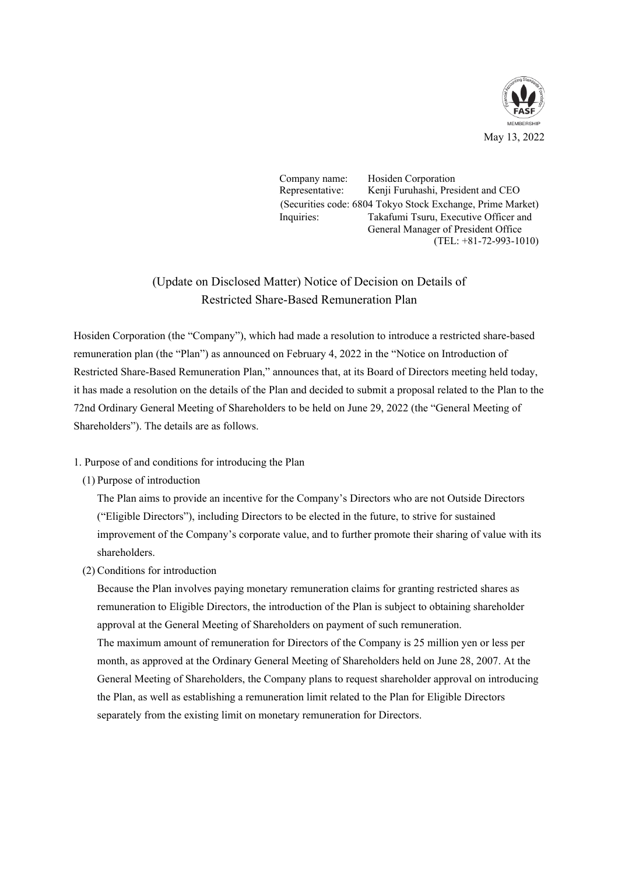

Company name: Hosiden Corporation Representative: Kenji Furuhashi, President and CEO (Securities code: 6804 Tokyo Stock Exchange, Prime Market) Inquiries: Takafumi Tsuru, Executive Officer and General Manager of President Office (TEL: +81-72-993-1010)

## (Update on Disclosed Matter) Notice of Decision on Details of Restricted Share-Based Remuneration Plan

Hosiden Corporation (the "Company"), which had made a resolution to introduce a restricted share-based remuneration plan (the "Plan") as announced on February 4, 2022 in the "Notice on Introduction of Restricted Share-Based Remuneration Plan," announces that, at its Board of Directors meeting held today, it has made a resolution on the details of the Plan and decided to submit a proposal related to the Plan to the 72nd Ordinary General Meeting of Shareholders to be held on June 29, 2022 (the "General Meeting of Shareholders"). The details are as follows.

- 1. Purpose of and conditions for introducing the Plan
	- (1) Purpose of introduction

The Plan aims to provide an incentive for the Company's Directors who are not Outside Directors ("Eligible Directors"), including Directors to be elected in the future, to strive for sustained improvement of the Company's corporate value, and to further promote their sharing of value with its shareholders.

(2) Conditions for introduction

Because the Plan involves paying monetary remuneration claims for granting restricted shares as remuneration to Eligible Directors, the introduction of the Plan is subject to obtaining shareholder approval at the General Meeting of Shareholders on payment of such remuneration.

The maximum amount of remuneration for Directors of the Company is 25 million yen or less per month, as approved at the Ordinary General Meeting of Shareholders held on June 28, 2007. At the General Meeting of Shareholders, the Company plans to request shareholder approval on introducing the Plan, as well as establishing a remuneration limit related to the Plan for Eligible Directors separately from the existing limit on monetary remuneration for Directors.